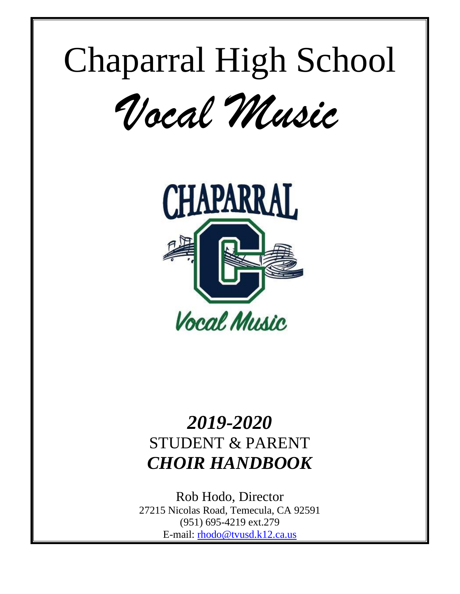# Chaparral High School

*Vocal Music*



# *2019-2020* STUDENT & PARENT *CHOIR HANDBOOK*

Rob Hodo, Director 27215 Nicolas Road, Temecula, CA 92591 (951) 695-4219 ext.279 E-mail: [rhodo@tvusd.k12.ca.us](mailto:rhodo@tvusd.k12.ca.us)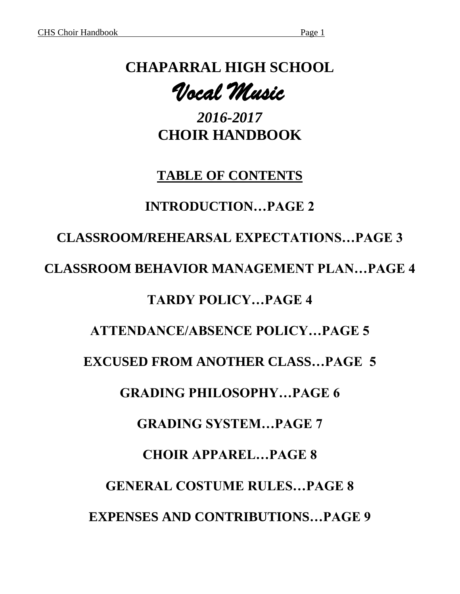# **CHAPARRAL HIGH SCHOOL**

*Vocal Music* 

*2016-2017* **CHOIR HANDBOOK**

# **TABLE OF CONTENTS**

# **INTRODUCTION…PAGE 2**

# **CLASSROOM/REHEARSAL EXPECTATIONS…PAGE 3**

### **CLASSROOM BEHAVIOR MANAGEMENT PLAN…PAGE 4**

# **TARDY POLICY…PAGE 4**

# **ATTENDANCE/ABSENCE POLICY…PAGE 5**

# **EXCUSED FROM ANOTHER CLASS…PAGE 5**

# **GRADING PHILOSOPHY…PAGE 6**

# **GRADING SYSTEM…PAGE 7**

### **CHOIR APPAREL…PAGE 8**

# **GENERAL COSTUME RULES…PAGE 8 EXPENSES AND CONTRIBUTIONS…PAGE 9**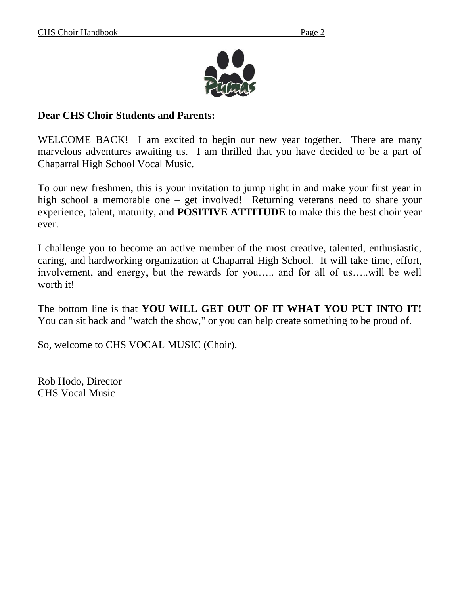

#### **Dear CHS Choir Students and Parents:**

WELCOME BACK! I am excited to begin our new year together. There are many marvelous adventures awaiting us. I am thrilled that you have decided to be a part of Chaparral High School Vocal Music.

To our new freshmen, this is your invitation to jump right in and make your first year in high school a memorable one – get involved! Returning veterans need to share your experience, talent, maturity, and **POSITIVE ATTITUDE** to make this the best choir year ever.

I challenge you to become an active member of the most creative, talented, enthusiastic, caring, and hardworking organization at Chaparral High School. It will take time, effort, involvement, and energy, but the rewards for you….. and for all of us…..will be well worth it!

The bottom line is that **YOU WILL GET OUT OF IT WHAT YOU PUT INTO IT!** You can sit back and "watch the show," or you can help create something to be proud of.

So, welcome to CHS VOCAL MUSIC (Choir).

Rob Hodo, Director CHS Vocal Music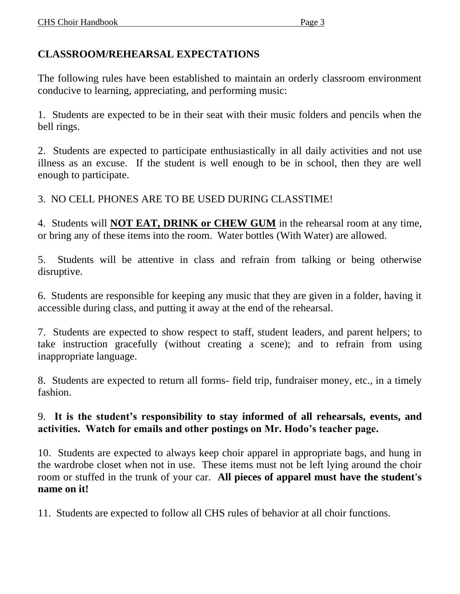#### **CLASSROOM/REHEARSAL EXPECTATIONS**

The following rules have been established to maintain an orderly classroom environment conducive to learning, appreciating, and performing music:

1. Students are expected to be in their seat with their music folders and pencils when the bell rings.

2. Students are expected to participate enthusiastically in all daily activities and not use illness as an excuse. If the student is well enough to be in school, then they are well enough to participate.

3. NO CELL PHONES ARE TO BE USED DURING CLASSTIME!

4. Students will **NOT EAT, DRINK or CHEW GUM** in the rehearsal room at any time, or bring any of these items into the room. Water bottles (With Water) are allowed.

5. Students will be attentive in class and refrain from talking or being otherwise disruptive.

6. Students are responsible for keeping any music that they are given in a folder, having it accessible during class, and putting it away at the end of the rehearsal.

7. Students are expected to show respect to staff, student leaders, and parent helpers; to take instruction gracefully (without creating a scene); and to refrain from using inappropriate language.

8. Students are expected to return all forms- field trip, fundraiser money, etc., in a timely fashion.

#### 9. **It is the student's responsibility to stay informed of all rehearsals, events, and activities. Watch for emails and other postings on Mr. Hodo's teacher page.**

10. Students are expected to always keep choir apparel in appropriate bags, and hung in the wardrobe closet when not in use. These items must not be left lying around the choir room or stuffed in the trunk of your car. **All pieces of apparel must have the student's name on it!**

11. Students are expected to follow all CHS rules of behavior at all choir functions.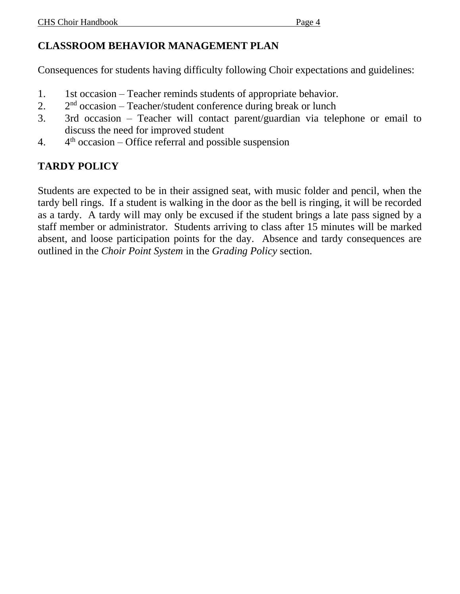Consequences for students having difficulty following Choir expectations and guidelines:

- 1. 1st occasion Teacher reminds students of appropriate behavior.
- $2.$  $2<sup>nd</sup>$  occasion – Teacher/student conference during break or lunch
- 3. 3rd occasion Teacher will contact parent/guardian via telephone or email to discuss the need for improved student
- $\overline{4}$ .  $4<sup>th</sup>$  occasion – Office referral and possible suspension

# **TARDY POLICY**

Students are expected to be in their assigned seat, with music folder and pencil, when the tardy bell rings. If a student is walking in the door as the bell is ringing, it will be recorded as a tardy. A tardy will may only be excused if the student brings a late pass signed by a staff member or administrator. Students arriving to class after 15 minutes will be marked absent, and loose participation points for the day. Absence and tardy consequences are outlined in the *Choir Point System* in the *Grading Policy* section.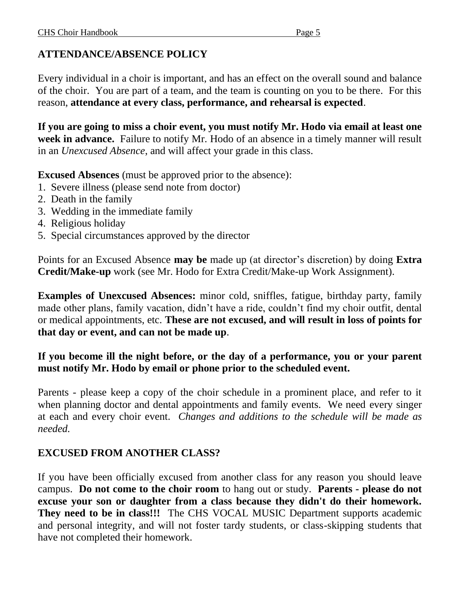#### **ATTENDANCE/ABSENCE POLICY**

Every individual in a choir is important, and has an effect on the overall sound and balance of the choir. You are part of a team, and the team is counting on you to be there. For this reason, **attendance at every class, performance, and rehearsal is expected**.

**If you are going to miss a choir event, you must notify Mr. Hodo via email at least one week in advance.** Failure to notify Mr. Hodo of an absence in a timely manner will result in an *Unexcused Absence*, and will affect your grade in this class.

**Excused Absences** (must be approved prior to the absence):

- 1. Severe illness (please send note from doctor)
- 2. Death in the family
- 3. Wedding in the immediate family
- 4. Religious holiday
- 5. Special circumstances approved by the director

Points for an Excused Absence **may be** made up (at director's discretion) by doing **Extra Credit/Make-up** work (see Mr. Hodo for Extra Credit/Make-up Work Assignment).

**Examples of Unexcused Absences:** minor cold, sniffles, fatigue, birthday party, family made other plans, family vacation, didn't have a ride, couldn't find my choir outfit, dental or medical appointments, etc. **These are not excused, and will result in loss of points for that day or event, and can not be made up**.

#### **If you become ill the night before, or the day of a performance, you or your parent must notify Mr. Hodo by email or phone prior to the scheduled event.**

Parents - please keep a copy of the choir schedule in a prominent place, and refer to it when planning doctor and dental appointments and family events. We need every singer at each and every choir event. *Changes and additions to the schedule will be made as needed.*

#### **EXCUSED FROM ANOTHER CLASS?**

If you have been officially excused from another class for any reason you should leave campus. **Do not come to the choir room** to hang out or study. **Parents - please do not excuse your son or daughter from a class because they didn't do their homework. They need to be in class!!!** The CHS VOCAL MUSIC Department supports academic and personal integrity, and will not foster tardy students, or class-skipping students that have not completed their homework.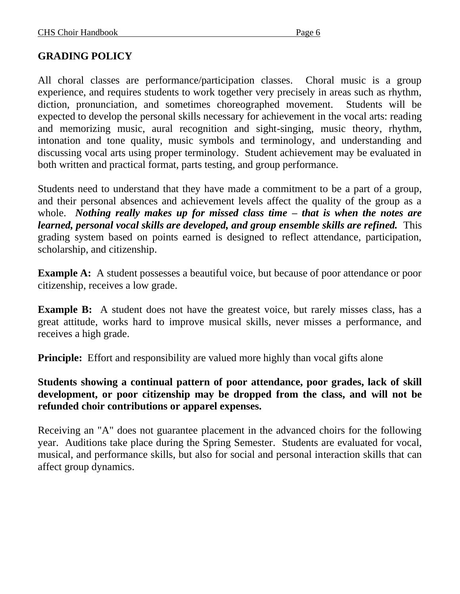#### **GRADING POLICY**

All choral classes are performance/participation classes. Choral music is a group experience, and requires students to work together very precisely in areas such as rhythm, diction, pronunciation, and sometimes choreographed movement. Students will be expected to develop the personal skills necessary for achievement in the vocal arts: reading and memorizing music, aural recognition and sight-singing, music theory, rhythm, intonation and tone quality, music symbols and terminology, and understanding and discussing vocal arts using proper terminology. Student achievement may be evaluated in both written and practical format, parts testing, and group performance.

Students need to understand that they have made a commitment to be a part of a group, and their personal absences and achievement levels affect the quality of the group as a whole. *Nothing really makes up for missed class time – that is when the notes are learned, personal vocal skills are developed, and group ensemble skills are refined.* This grading system based on points earned is designed to reflect attendance, participation, scholarship, and citizenship.

**Example A:** A student possesses a beautiful voice, but because of poor attendance or poor citizenship, receives a low grade.

**Example B:** A student does not have the greatest voice, but rarely misses class, has a great attitude, works hard to improve musical skills, never misses a performance, and receives a high grade.

**Principle:** Effort and responsibility are valued more highly than vocal gifts alone

**Students showing a continual pattern of poor attendance, poor grades, lack of skill development, or poor citizenship may be dropped from the class, and will not be refunded choir contributions or apparel expenses.**

Receiving an "A" does not guarantee placement in the advanced choirs for the following year. Auditions take place during the Spring Semester. Students are evaluated for vocal, musical, and performance skills, but also for social and personal interaction skills that can affect group dynamics.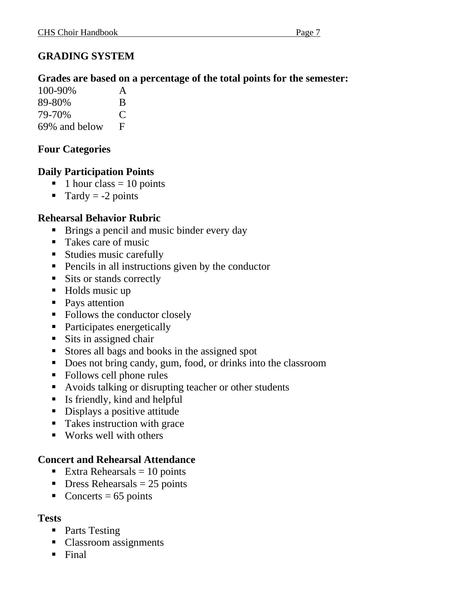#### **GRADING SYSTEM**

#### **Grades are based on a percentage of the total points for the semester:**

| 100-90%       | A             |
|---------------|---------------|
| 89-80%        | B             |
| 79-70%        | $\mathcal{C}$ |
| 69% and below | F             |

#### **Four Categories**

#### **Daily Participation Points**

- $\blacksquare$  1 hour class = 10 points
- $\blacksquare$  Tardy = -2 points

#### **Rehearsal Behavior Rubric**

- Brings a pencil and music binder every day
- Takes care of music
- Studies music carefully
- Pencils in all instructions given by the conductor
- Sits or stands correctly
- Holds music up
- Pays attention
- Follows the conductor closely
- Participates energetically
- Sits in assigned chair
- Stores all bags and books in the assigned spot
- Does not bring candy, gum, food, or drinks into the classroom
- Follows cell phone rules
- Avoids talking or disrupting teacher or other students
- Is friendly, kind and helpful
- Displays a positive attitude
- Takes instruction with grace
- Works well with others

#### **Concert and Rehearsal Attendance**

- Extra Rehearsals  $= 10$  points
- $\blacksquare$  Dress Rehearsals = 25 points
- $\blacksquare$  Concerts = 65 points

#### **Tests**

- Parts Testing
- Classroom assignments
- Final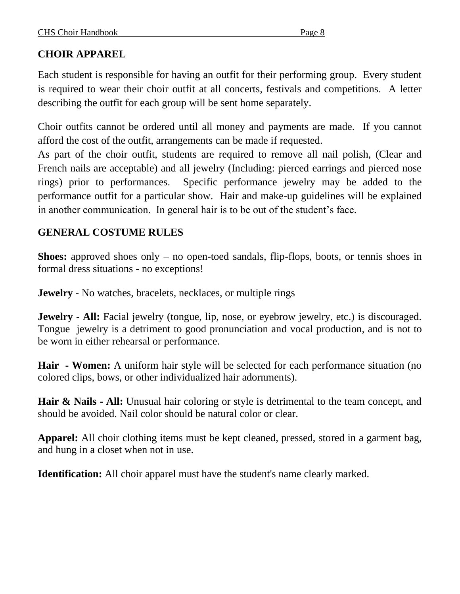#### **CHOIR APPAREL**

Each student is responsible for having an outfit for their performing group. Every student is required to wear their choir outfit at all concerts, festivals and competitions. A letter describing the outfit for each group will be sent home separately.

Choir outfits cannot be ordered until all money and payments are made. If you cannot afford the cost of the outfit, arrangements can be made if requested.

As part of the choir outfit, students are required to remove all nail polish, (Clear and French nails are acceptable) and all jewelry (Including: pierced earrings and pierced nose rings) prior to performances. Specific performance jewelry may be added to the performance outfit for a particular show. Hair and make-up guidelines will be explained in another communication. In general hair is to be out of the student's face.

#### **GENERAL COSTUME RULES**

**Shoes:** approved shoes only – no open-toed sandals, flip-flops, boots, or tennis shoes in formal dress situations - no exceptions!

**Jewelry -** No watches, bracelets, necklaces, or multiple rings

**Jewelry - All:** Facial jewelry (tongue, lip, nose, or eyebrow jewelry, etc.) is discouraged. Tongue jewelry is a detriment to good pronunciation and vocal production, and is not to be worn in either rehearsal or performance.

**Hair - Women:** A uniform hair style will be selected for each performance situation (no colored clips, bows, or other individualized hair adornments).

**Hair & Nails - All:** Unusual hair coloring or style is detrimental to the team concept, and should be avoided. Nail color should be natural color or clear.

**Apparel:** All choir clothing items must be kept cleaned, pressed, stored in a garment bag, and hung in a closet when not in use.

**Identification:** All choir apparel must have the student's name clearly marked.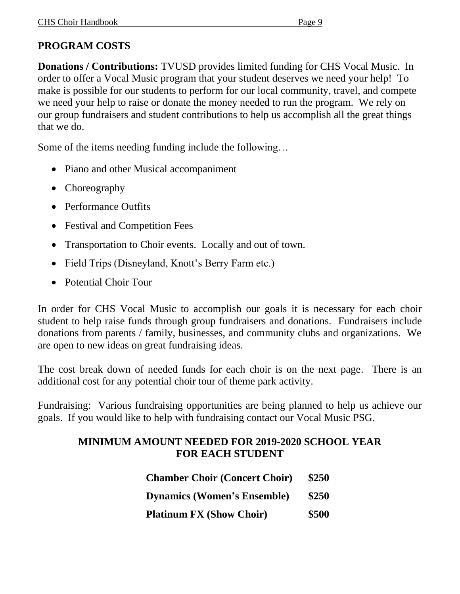#### **PROGRAM COSTS**

**Donations / Contributions:** TVUSD provides limited funding for CHS Vocal Music. In order to offer a Vocal Music program that your student deserves we need your help! To make is possible for our students to perform for our local community, travel, and compete we need your help to raise or donate the money needed to run the program. We rely on our group fundraisers and student contributions to help us accomplish all the great things that we do.

Some of the items needing funding include the following…

- Piano and other Musical accompaniment
- Choreography
- Performance Outfits
- Festival and Competition Fees
- Transportation to Choir events. Locally and out of town.
- Field Trips (Disneyland, Knott's Berry Farm etc.)
- Potential Choir Tour

In order for CHS Vocal Music to accomplish our goals it is necessary for each choir student to help raise funds through group fundraisers and donations. Fundraisers include donations from parents / family, businesses, and community clubs and organizations. We are open to new ideas on great fundraising ideas.

The cost break down of needed funds for each choir is on the next page. There is an additional cost for any potential choir tour of theme park activity.

Fundraising: Various fundraising opportunities are being planned to help us achieve our goals. If you would like to help with fundraising contact our Vocal Music PSG.

#### **MINIMUM AMOUNT NEEDED FOR 2019-2020 SCHOOL YEAR FOR EACH STUDENT**

| <b>Chamber Choir (Concert Choir)</b> | \$250 |
|--------------------------------------|-------|
| <b>Dynamics (Women's Ensemble)</b>   | \$250 |
| <b>Platinum FX (Show Choir)</b>      | \$500 |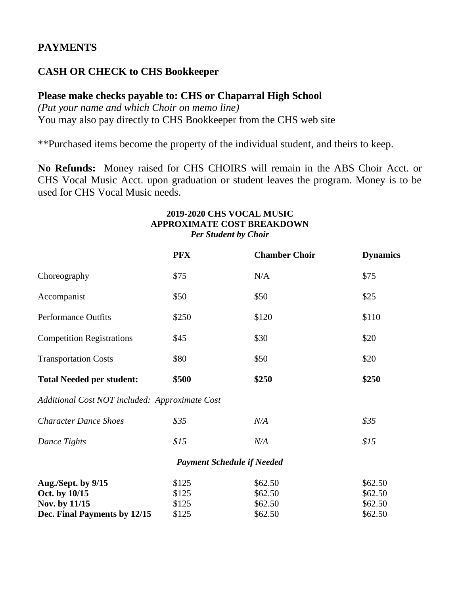#### **PAYMENTS**

#### **CASH OR CHECK to CHS Bookkeeper**

#### **Please make checks payable to: CHS or Chaparral High School**

*(Put your name and which Choir on memo line)* You may also pay directly to CHS Bookkeeper from the CHS web site

\*\*Purchased items become the property of the individual student, and theirs to keep.

**No Refunds:** Money raised for CHS CHOIRS will remain in the ABS Choir Acct. or CHS Vocal Music Acct. upon graduation or student leaves the program. Money is to be used for CHS Vocal Music needs.

#### **2019-2020 CHS VOCAL MUSIC APPROXIMATE COST BREAKDOWN** *Per Student by Choir*

|                                                | <b>PFX</b> | <b>Chamber Choir</b>              | <b>Dynamics</b> |
|------------------------------------------------|------------|-----------------------------------|-----------------|
| Choreography                                   | \$75       | N/A                               | \$75            |
| Accompanist                                    | \$50       | \$50                              | \$25            |
| <b>Performance Outfits</b>                     | \$250      | \$120                             | \$110           |
| <b>Competition Registrations</b>               | \$45       | \$30                              | \$20            |
| <b>Transportation Costs</b>                    | \$80       | \$50                              | \$20            |
| <b>Total Needed per student:</b>               | \$500      | \$250                             | \$250           |
| Additional Cost NOT included: Approximate Cost |            |                                   |                 |
| <b>Character Dance Shoes</b>                   | \$35       | N/A                               | \$35            |
| Dance Tights                                   | \$15       | N/A                               | \$15            |
|                                                |            | <b>Payment Schedule if Needed</b> |                 |
| Aug./Sept. by 9/15                             | \$125      | \$62.50                           | \$62.50         |
| Oct. by 10/15                                  | \$125      | \$62.50                           | \$62.50         |
| Nov. by 11/15                                  | \$125      | \$62.50                           | \$62.50         |
| Dec. Final Payments by 12/15                   | \$125      | \$62.50                           | \$62.50         |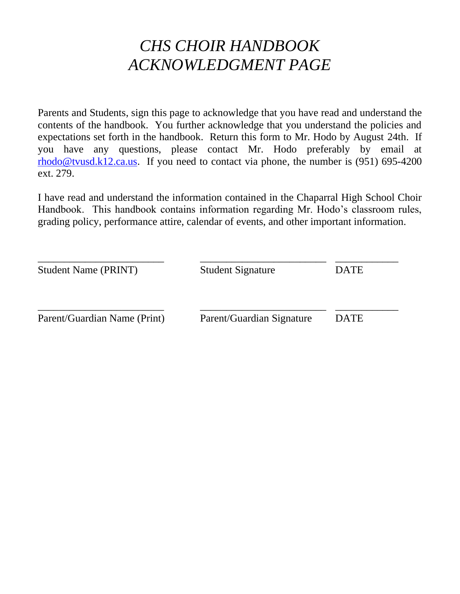# *CHS CHOIR HANDBOOK ACKNOWLEDGMENT PAGE*

Parents and Students, sign this page to acknowledge that you have read and understand the contents of the handbook. You further acknowledge that you understand the policies and expectations set forth in the handbook. Return this form to Mr. Hodo by August 24th. If you have any questions, please contact Mr. Hodo preferably by email at [rhodo@tvusd.k12.ca.us.](mailto:rhodo@tvusd.k12.ca.us) If you need to contact via phone, the number is  $(951)$  695-4200 ext. 279.

I have read and understand the information contained in the Chaparral High School Choir Handbook. This handbook contains information regarding Mr. Hodo's classroom rules, grading policy, performance attire, calendar of events, and other important information.

| <b>Student Name (PRINT)</b>  | <b>Student Signature</b>  | <b>DATE</b> |
|------------------------------|---------------------------|-------------|
| Parent/Guardian Name (Print) | Parent/Guardian Signature | <b>DATE</b> |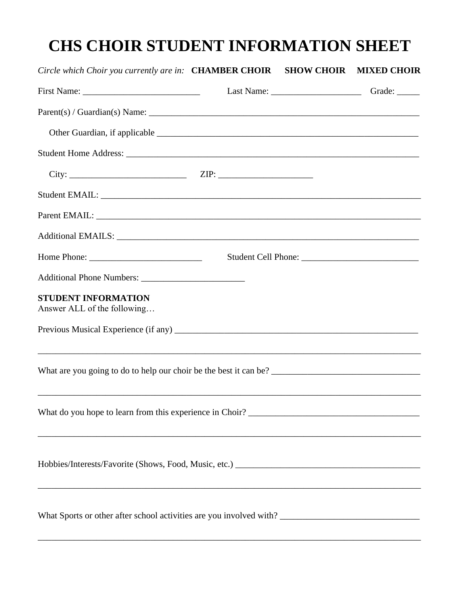# **CHS CHOIR STUDENT INFORMATION SHEET**

| Circle which Choir you currently are in: CHAMBER CHOIR SHOW CHOIR MIXED CHOIR                                                                                                                                                                                                                                                                                                             |  |  |
|-------------------------------------------------------------------------------------------------------------------------------------------------------------------------------------------------------------------------------------------------------------------------------------------------------------------------------------------------------------------------------------------|--|--|
| First Name: $\frac{1}{\sqrt{1-\frac{1}{2}}}\left\{ \frac{1}{2} + \frac{1}{2} \frac{1}{2} + \frac{1}{2} \frac{1}{2} + \frac{1}{2} \frac{1}{2} + \frac{1}{2} \frac{1}{2} + \frac{1}{2} \frac{1}{2} + \frac{1}{2} \frac{1}{2} + \frac{1}{2} \frac{1}{2} + \frac{1}{2} \frac{1}{2} + \frac{1}{2} \frac{1}{2} + \frac{1}{2} \frac{1}{2} + \frac{1}{2} \frac{1}{2} + \frac{1}{2} \frac{1}{2} +$ |  |  |
|                                                                                                                                                                                                                                                                                                                                                                                           |  |  |
|                                                                                                                                                                                                                                                                                                                                                                                           |  |  |
|                                                                                                                                                                                                                                                                                                                                                                                           |  |  |
|                                                                                                                                                                                                                                                                                                                                                                                           |  |  |
|                                                                                                                                                                                                                                                                                                                                                                                           |  |  |
|                                                                                                                                                                                                                                                                                                                                                                                           |  |  |
|                                                                                                                                                                                                                                                                                                                                                                                           |  |  |
|                                                                                                                                                                                                                                                                                                                                                                                           |  |  |
|                                                                                                                                                                                                                                                                                                                                                                                           |  |  |
| <b>STUDENT INFORMATION</b><br>Answer ALL of the following                                                                                                                                                                                                                                                                                                                                 |  |  |
|                                                                                                                                                                                                                                                                                                                                                                                           |  |  |
|                                                                                                                                                                                                                                                                                                                                                                                           |  |  |
| ,我们也不能在这里的人,我们也不能在这里的人,我们也不能在这里的人,我们也不能在这里的人,我们也不能在这里的人,我们也不能在这里的人,我们也不能在这里的人,我们也                                                                                                                                                                                                                                                                                                         |  |  |
|                                                                                                                                                                                                                                                                                                                                                                                           |  |  |
|                                                                                                                                                                                                                                                                                                                                                                                           |  |  |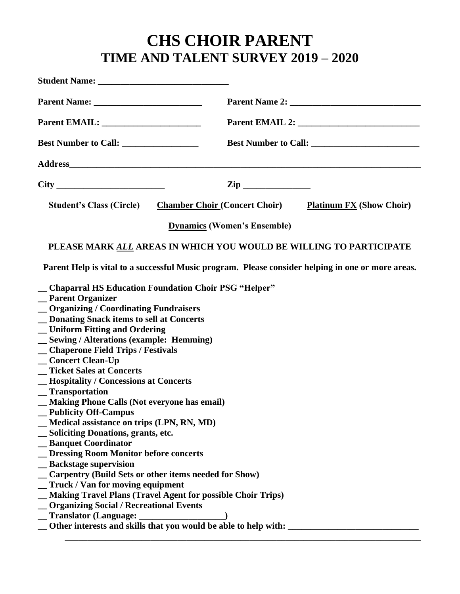# **CHS CHOIR PARENT TIME AND TALENT SURVEY 2019 – 2020**

|                                                                                                                                                                                                                                                                                                                                                                                                                                                                                                                                                                                                                                                                                                 | Parent Name 2: New York 1988                                                                                                                                                                                                   |
|-------------------------------------------------------------------------------------------------------------------------------------------------------------------------------------------------------------------------------------------------------------------------------------------------------------------------------------------------------------------------------------------------------------------------------------------------------------------------------------------------------------------------------------------------------------------------------------------------------------------------------------------------------------------------------------------------|--------------------------------------------------------------------------------------------------------------------------------------------------------------------------------------------------------------------------------|
|                                                                                                                                                                                                                                                                                                                                                                                                                                                                                                                                                                                                                                                                                                 |                                                                                                                                                                                                                                |
|                                                                                                                                                                                                                                                                                                                                                                                                                                                                                                                                                                                                                                                                                                 |                                                                                                                                                                                                                                |
|                                                                                                                                                                                                                                                                                                                                                                                                                                                                                                                                                                                                                                                                                                 | Address and the contract of the contract of the contract of the contract of the contract of the contract of the contract of the contract of the contract of the contract of the contract of the contract of the contract of th |
|                                                                                                                                                                                                                                                                                                                                                                                                                                                                                                                                                                                                                                                                                                 |                                                                                                                                                                                                                                |
|                                                                                                                                                                                                                                                                                                                                                                                                                                                                                                                                                                                                                                                                                                 | <b>Student's Class (Circle)</b> Chamber Choir (Concert Choir) Platinum FX (Show Choir)                                                                                                                                         |
|                                                                                                                                                                                                                                                                                                                                                                                                                                                                                                                                                                                                                                                                                                 | <b>Dynamics (Women's Ensemble)</b>                                                                                                                                                                                             |
|                                                                                                                                                                                                                                                                                                                                                                                                                                                                                                                                                                                                                                                                                                 | PLEASE MARK ALL AREAS IN WHICH YOU WOULD BE WILLING TO PARTICIPATE                                                                                                                                                             |
|                                                                                                                                                                                                                                                                                                                                                                                                                                                                                                                                                                                                                                                                                                 | Parent Help is vital to a successful Music program. Please consider helping in one or more areas.                                                                                                                              |
| _ Chaparral HS Education Foundation Choir PSG "Helper"<br>_Parent Organizer<br>_Organizing / Coordinating Fundraisers<br>_ Donating Snack items to sell at Concerts<br>_Uniform Fitting and Ordering<br>_ Sewing / Alterations (example: Hemming)<br>_Chaperone Field Trips / Festivals<br>_Concert Clean-Up<br>_Ticket Sales at Concerts<br>_Hospitality / Concessions at Concerts<br>$\sqrt{r}$ Transportation<br>_ Making Phone Calls (Not everyone has email)<br><b>Publicity Off-Campus</b><br>_Medical assistance on trips (LPN, RN, MD)<br><b>Soliciting Donations, grants, etc.</b><br>_ Banquet Coordinator<br>_ Dressing Room Monitor before concerts<br><b>Backstage supervision</b> |                                                                                                                                                                                                                                |
| _Carpentry (Build Sets or other items needed for Show)<br>_Truck / Van for moving equipment                                                                                                                                                                                                                                                                                                                                                                                                                                                                                                                                                                                                     |                                                                                                                                                                                                                                |
| Making Travel Plans (Travel Agent for possible Choir Trips)<br><b>Organizing Social / Recreational Events</b><br>_Translator (Language: _                                                                                                                                                                                                                                                                                                                                                                                                                                                                                                                                                       | Other interests and skills that you would be able to help with: _                                                                                                                                                              |

**\_\_\_\_\_\_\_\_\_\_\_\_\_\_\_\_\_\_\_\_\_\_\_\_\_\_\_\_\_\_\_\_\_\_\_\_\_\_\_\_\_\_\_\_\_\_\_\_\_\_\_\_\_\_\_\_\_\_\_\_\_\_\_\_\_\_\_\_\_\_\_\_\_\_\_\_\_\_\_**